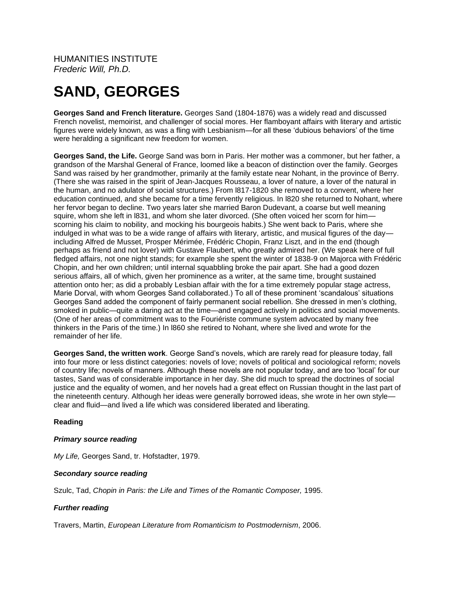HUMANITIES INSTITUTE *Frederic Will, Ph.D.*

# **SAND, GEORGES**

**Georges Sand and French literature.** Georges Sand (1804-1876) was a widely read and discussed French novelist, memoirist, and challenger of social mores. Her flamboyant affairs with literary and artistic figures were widely known, as was a fling with Lesbianism—for all these 'dubious behaviors' of the time were heralding a significant new freedom for women.

**Georges Sand, the Life.** George Sand was born in Paris. Her mother was a commoner, but her father, a grandson of the Marshal General of France, loomed like a beacon of distinction over the family. Georges Sand was raised by her grandmother, primarily at the family estate near Nohant, in the province of Berry. (There she was raised in the spirit of Jean-Jacques Rousseau, a lover of nature, a lover of the natural in the human, and no adulator of social structures.) From l817-1820 she removed to a convent, where her education continued, and she became for a time fervently religious. In l820 she returned to Nohant, where her fervor began to decline. Two years later she married Baron Dudevant, a coarse but well meaning squire, whom she left in l831, and whom she later divorced. (She often voiced her scorn for himscorning his claim to nobility, and mocking his bourgeois habits.) She went back to Paris, where she indulged in what was to be a wide range of affairs with literary, artistic, and musical figures of the day including Alfred de Musset, Prosper Mérimée, Frédéric Chopin, Franz Liszt, and in the end (though perhaps as friend and not lover) with Gustave Flaubert, who greatly admired her. (We speak here of full fledged affairs, not one night stands; for example she spent the winter of 1838-9 on Majorca with Frédéric Chopin, and her own children; until internal squabbling broke the pair apart. She had a good dozen serious affairs, all of which, given her prominence as a writer, at the same time, brought sustained attention onto her; as did a probably Lesbian affair with the for a time extremely popular stage actress, Marie Dorval, with whom Georges Sand collaborated.) To all of these prominent 'scandalous' situations Georges Sand added the component of fairly permanent social rebellion. She dressed in men's clothing, smoked in public—quite a daring act at the time—and engaged actively in politics and social movements. (One of her areas of commitment was to the Fouriériste commune system advocated by many free thinkers in the Paris of the time.) In l860 she retired to Nohant, where she lived and wrote for the remainder of her life.

**Georges Sand, the written work**. George Sand's novels, which are rarely read for pleasure today, fall into four more or less distinct categories: novels of love; novels of political and sociological reform; novels of country life; novels of manners. Although these novels are not popular today, and are too 'local' for our tastes, Sand was of considerable importance in her day. She did much to spread the doctrines of social justice and the equality of women, and her novels had a great effect on Russian thought in the last part of the nineteenth century. Although her ideas were generally borrowed ideas, she wrote in her own style clear and fluid—and lived a life which was considered liberated and liberating.

## **Reading**

## *Primary source reading*

*My Life,* Georges Sand, tr. Hofstadter, 1979.

#### *Secondary source reading*

Szulc, Tad, *Chopin in Paris: the Life and Times of the Romantic Composer,* 1995.

## *Further reading*

Travers, Martin, *European Literature from Romanticism to Postmodernism*, 2006.